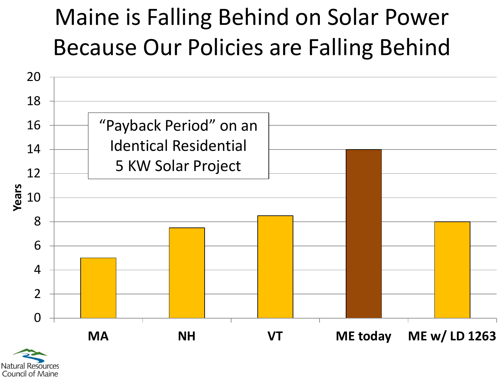## Maine is Falling Behind on Solar Power Because Our Policies are Falling Behind



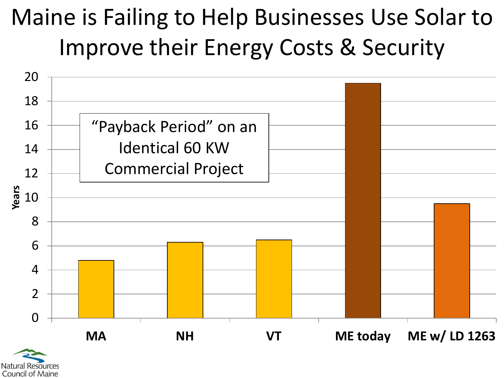## Maine is Failing to Help Businesses Use Solar to Improve their Energy Costs & Security



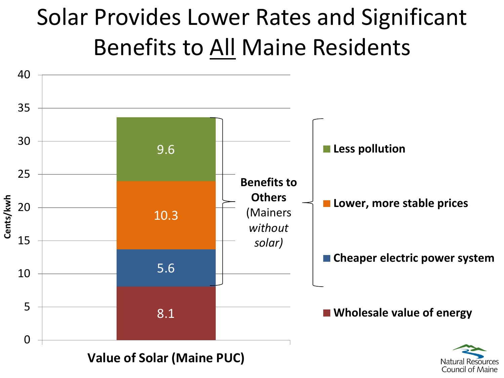## Solar Provides Lower Rates and Significant Benefits to All Maine Residents

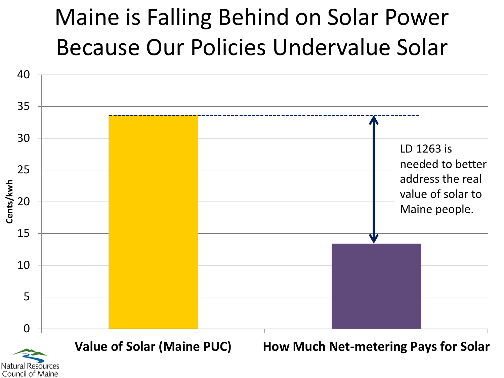## Maine is Falling Behind on Solar Power Because Our Policies Undervalue Solar

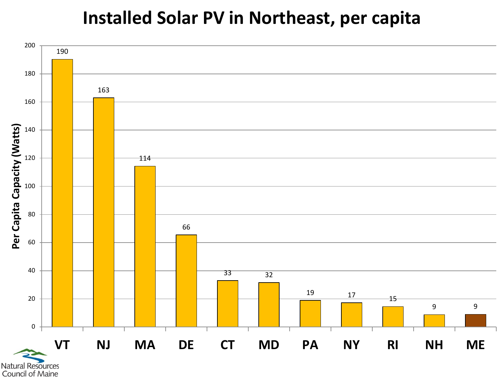#### **Installed Solar PV in Northeast, per capita**



Council of Maine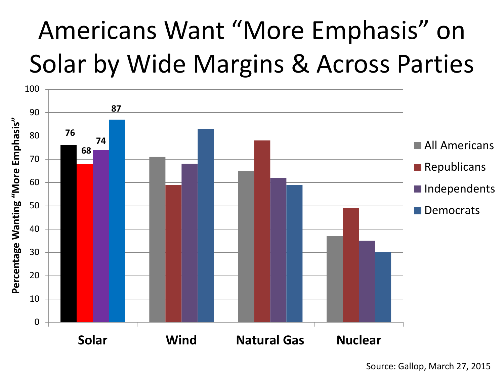# Americans Want "More Emphasis" on Solar by Wide Margins & Across Parties